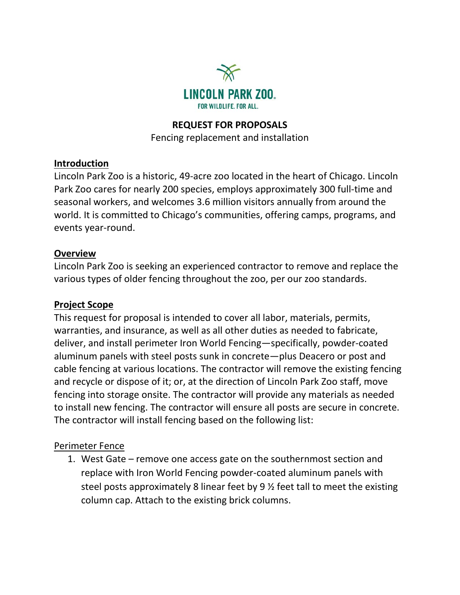

#### **REQUEST FOR PROPOSALS**

Fencing replacement and installation

#### **Introduction**

Lincoln Park Zoo is a historic, 49-acre zoo located in the heart of Chicago. Lincoln Park Zoo cares for nearly 200 species, employs approximately 300 full-time and seasonal workers, and welcomes 3.6 million visitors annually from around the world. It is committed to Chicago's communities, offering camps, programs, and events year-round.

#### **Overview**

Lincoln Park Zoo is seeking an experienced contractor to remove and replace the various types of older fencing throughout the zoo, per our zoo standards.

### **Project Scope**

This request for proposal is intended to cover all labor, materials, permits, warranties, and insurance, as well as all other duties as needed to fabricate, deliver, and install perimeter Iron World Fencing—specifically, powder-coated aluminum panels with steel posts sunk in concrete—plus Deacero or post and cable fencing at various locations. The contractor will remove the existing fencing and recycle or dispose of it; or, at the direction of Lincoln Park Zoo staff, move fencing into storage onsite. The contractor will provide any materials as needed to install new fencing. The contractor will ensure all posts are secure in concrete. The contractor will install fencing based on the following list:

### Perimeter Fence

1. West Gate – remove one access gate on the southernmost section and replace with Iron World Fencing powder-coated aluminum panels with steel posts approximately 8 linear feet by 9 ½ feet tall to meet the existing column cap. Attach to the existing brick columns.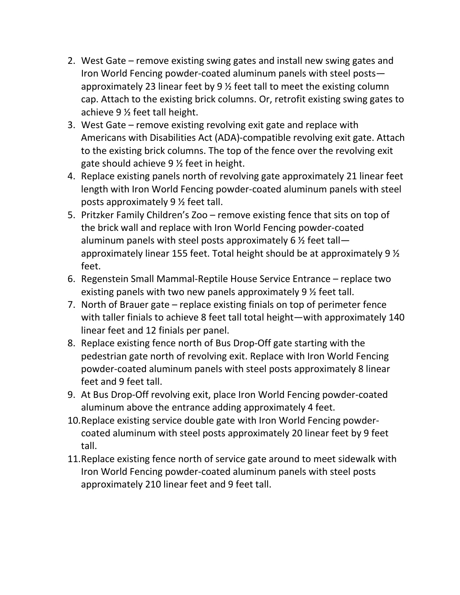- 2. West Gate remove existing swing gates and install new swing gates and Iron World Fencing powder-coated aluminum panels with steel posts approximately 23 linear feet by 9 ½ feet tall to meet the existing column cap. Attach to the existing brick columns. Or, retrofit existing swing gates to achieve 9 ½ feet tall height.
- 3. West Gate remove existing revolving exit gate and replace with Americans with Disabilities Act (ADA)-compatible revolving exit gate. Attach to the existing brick columns. The top of the fence over the revolving exit gate should achieve 9 ½ feet in height.
- 4. Replace existing panels north of revolving gate approximately 21 linear feet length with Iron World Fencing powder-coated aluminum panels with steel posts approximately 9 ½ feet tall.
- 5. Pritzker Family Children's Zoo remove existing fence that sits on top of the brick wall and replace with Iron World Fencing powder-coated aluminum panels with steel posts approximately 6  $\frac{1}{2}$  feet tallapproximately linear 155 feet. Total height should be at approximately 9 ½ feet.
- 6. Regenstein Small Mammal-Reptile House Service Entrance replace two existing panels with two new panels approximately 9 ½ feet tall.
- 7. North of Brauer gate replace existing finials on top of perimeter fence with taller finials to achieve 8 feet tall total height—with approximately 140 linear feet and 12 finials per panel.
- 8. Replace existing fence north of Bus Drop-Off gate starting with the pedestrian gate north of revolving exit. Replace with Iron World Fencing powder-coated aluminum panels with steel posts approximately 8 linear feet and 9 feet tall.
- 9. At Bus Drop-Off revolving exit, place Iron World Fencing powder-coated aluminum above the entrance adding approximately 4 feet.
- 10.Replace existing service double gate with Iron World Fencing powdercoated aluminum with steel posts approximately 20 linear feet by 9 feet tall.
- 11.Replace existing fence north of service gate around to meet sidewalk with Iron World Fencing powder-coated aluminum panels with steel posts approximately 210 linear feet and 9 feet tall.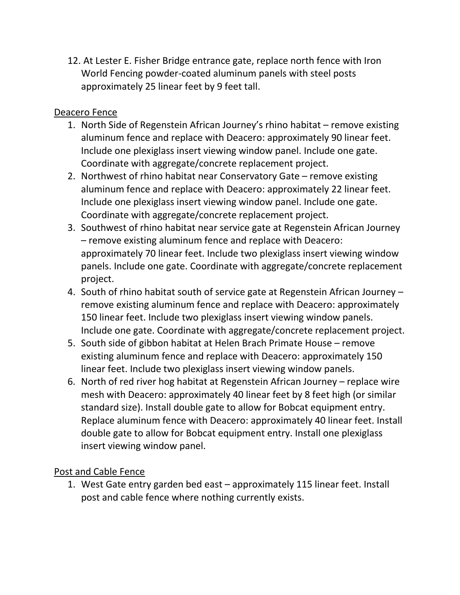12. At Lester E. Fisher Bridge entrance gate, replace north fence with Iron World Fencing powder-coated aluminum panels with steel posts approximately 25 linear feet by 9 feet tall.

### Deacero Fence

- 1. North Side of Regenstein African Journey's rhino habitat remove existing aluminum fence and replace with Deacero: approximately 90 linear feet. Include one plexiglass insert viewing window panel. Include one gate. Coordinate with aggregate/concrete replacement project.
- 2. Northwest of rhino habitat near Conservatory Gate remove existing aluminum fence and replace with Deacero: approximately 22 linear feet. Include one plexiglass insert viewing window panel. Include one gate. Coordinate with aggregate/concrete replacement project.
- 3. Southwest of rhino habitat near service gate at Regenstein African Journey – remove existing aluminum fence and replace with Deacero: approximately 70 linear feet. Include two plexiglass insert viewing window panels. Include one gate. Coordinate with aggregate/concrete replacement project.
- 4. South of rhino habitat south of service gate at Regenstein African Journey remove existing aluminum fence and replace with Deacero: approximately 150 linear feet. Include two plexiglass insert viewing window panels. Include one gate. Coordinate with aggregate/concrete replacement project.
- 5. South side of gibbon habitat at Helen Brach Primate House remove existing aluminum fence and replace with Deacero: approximately 150 linear feet. Include two plexiglass insert viewing window panels.
- 6. North of red river hog habitat at Regenstein African Journey replace wire mesh with Deacero: approximately 40 linear feet by 8 feet high (or similar standard size). Install double gate to allow for Bobcat equipment entry. Replace aluminum fence with Deacero: approximately 40 linear feet. Install double gate to allow for Bobcat equipment entry. Install one plexiglass insert viewing window panel.

# Post and Cable Fence

1. West Gate entry garden bed east – approximately 115 linear feet. Install post and cable fence where nothing currently exists.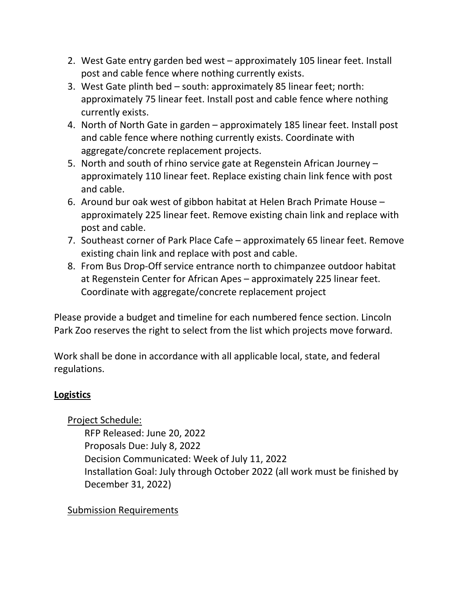- 2. West Gate entry garden bed west approximately 105 linear feet. Install post and cable fence where nothing currently exists.
- 3. West Gate plinth bed south: approximately 85 linear feet; north: approximately 75 linear feet. Install post and cable fence where nothing currently exists.
- 4. North of North Gate in garden approximately 185 linear feet. Install post and cable fence where nothing currently exists. Coordinate with aggregate/concrete replacement projects.
- 5. North and south of rhino service gate at Regenstein African Journey approximately 110 linear feet. Replace existing chain link fence with post and cable.
- 6. Around bur oak west of gibbon habitat at Helen Brach Primate House approximately 225 linear feet. Remove existing chain link and replace with post and cable.
- 7. Southeast corner of Park Place Cafe approximately 65 linear feet. Remove existing chain link and replace with post and cable.
- 8. From Bus Drop-Off service entrance north to chimpanzee outdoor habitat at Regenstein Center for African Apes – approximately 225 linear feet. Coordinate with aggregate/concrete replacement project

Please provide a budget and timeline for each numbered fence section. Lincoln Park Zoo reserves the right to select from the list which projects move forward.

Work shall be done in accordance with all applicable local, state, and federal regulations.

# **Logistics**

# Project Schedule:

RFP Released: June 20, 2022 Proposals Due: July 8, 2022 Decision Communicated: Week of July 11, 2022 Installation Goal: July through October 2022 (all work must be finished by December 31, 2022)

# Submission Requirements